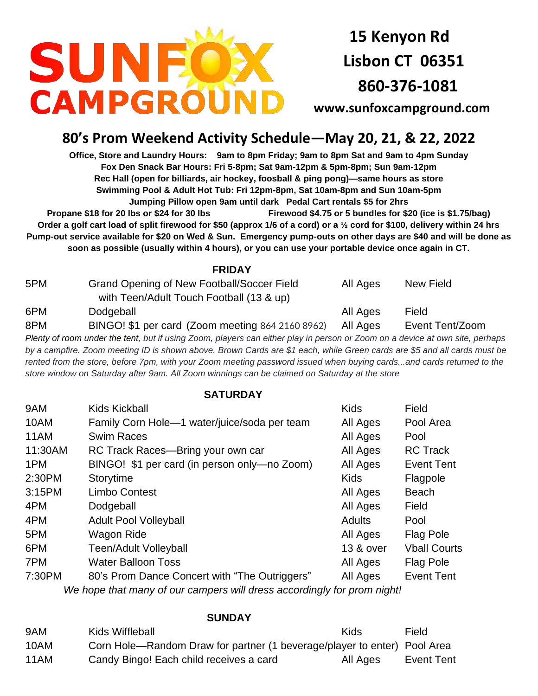

**15 Kenyon Rd Lisbon CT 06351 860-376-1081**

**[www.sunfoxcampground.com](http://www.sunfoxcampground.com/)** 

## **80's Prom Weekend Activity Schedule—May 20, 21, & 22, 2022**

**Office, Store and Laundry Hours: 9am to 8pm Friday; 9am to 8pm Sat and 9am to 4pm Sunday Fox Den Snack Bar Hours: Fri 5-8pm; Sat 9am-12pm & 5pm-8pm; Sun 9am-12pm Rec Hall (open for billiards, air hockey, foosball & ping pong)—same hours as store Swimming Pool & Adult Hot Tub: Fri 12pm-8pm, Sat 10am-8pm and Sun 10am-5pm Jumping Pillow open 9am until dark Pedal Cart rentals \$5 for 2hrs** 

**Propane \$18 for 20 lbs or \$24 for 30 lbs Firewood \$4.75 or 5 bundles for \$20 (ice is \$1.75/bag) Order a golf cart load of split firewood for \$50 (approx 1/6 of a cord) or a ½ cord for \$100, delivery within 24 hrs Pump-out service available for \$20 on Wed & Sun. Emergency pump-outs on other days are \$40 and will be done as soon as possible (usually within 4 hours), or you can use your portable device once again in CT.**

 **FRIDAY**

| 5PM | Grand Opening of New Football/Soccer Field<br>with Teen/Adult Touch Football (13 & up) | All Ages | New Field       |
|-----|----------------------------------------------------------------------------------------|----------|-----------------|
| 6PM | Dodgeball                                                                              | All Ages | Field           |
| 8PM | BINGO! \$1 per card (Zoom meeting 864 2160 8962)                                       | All Ages | Event Tent/Zoom |

*Plenty of room under the tent, but if using Zoom, players can either play in person or Zoom on a device at own site, perhaps by a campfire. Zoom meeting ID is shown above. Brown Cards are \$1 each, while Green cards are \$5 and all cards must be rented from the store, before 7pm, with your Zoom meeting password issued when buying cards...and cards returned to the store window on Saturday after 9am. All Zoom winnings can be claimed on Saturday at the store*

## **SATURDAY**

| 9AM     | Kids Kickball                                 | <b>Kids</b> | Field               |
|---------|-----------------------------------------------|-------------|---------------------|
| 10AM    | Family Corn Hole-1 water/juice/soda per team  | All Ages    | Pool Area           |
| 11AM    | <b>Swim Races</b>                             | All Ages    | Pool                |
| 11:30AM | RC Track Races-Bring your own car             | All Ages    | <b>RC Track</b>     |
| 1PM     | BINGO! \$1 per card (in person only-no Zoom)  | All Ages    | <b>Event Tent</b>   |
| 2:30PM  | Storytime                                     | <b>Kids</b> | Flagpole            |
| 3:15PM  | <b>Limbo Contest</b>                          | All Ages    | <b>Beach</b>        |
| 4PM     | Dodgeball                                     | All Ages    | Field               |
| 4PM     | <b>Adult Pool Volleyball</b>                  | Adults      | Pool                |
| 5PM     | Wagon Ride                                    | All Ages    | <b>Flag Pole</b>    |
| 6PM     | <b>Teen/Adult Volleyball</b>                  | 13 & over   | <b>Vball Courts</b> |
| 7PM     | <b>Water Balloon Toss</b>                     | All Ages    | Flag Pole           |
| 7:30PM  | 80's Prom Dance Concert with "The Outriggers" | All Ages    | <b>Event Tent</b>   |
|         |                                               |             |                     |

*We hope that many of our campers will dress accordingly for prom night!*

## **SUNDAY**

| 9AM  | Kids Wiffleball                                                          | Kids     | Field      |
|------|--------------------------------------------------------------------------|----------|------------|
| 10AM | Corn Hole—Random Draw for partner (1 beverage/player to enter) Pool Area |          |            |
| 11AM | Candy Bingo! Each child receives a card                                  | All Ages | Event Tent |